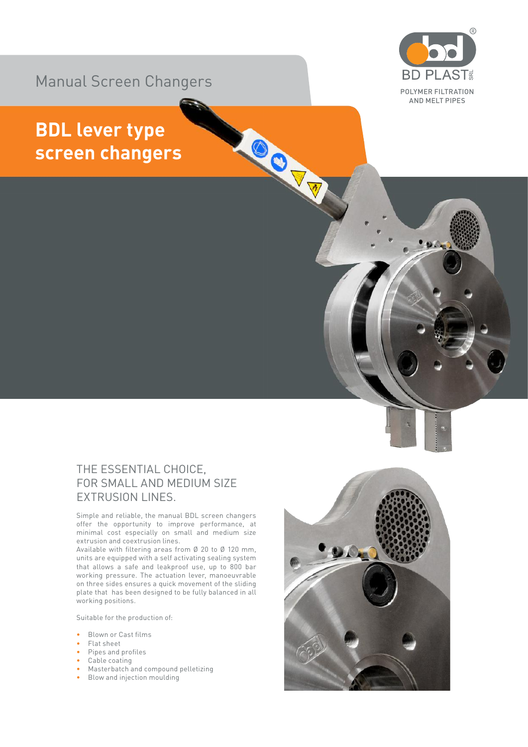

## Manual Screen Changers

## **BDL lever type screen changers**

## THE ESSENTIAL CHOICE, FOR SMALL AND MEDIUM SIZE EXTRUSION LINES.

Simple and reliable, the manual BDL screen changers offer the opportunity to improve performance, at minimal cost especially on small and medium size extrusion and coextrusion lines.

Available with filtering areas from Ø 20 to Ø 120 mm, units are equipped with a self activating sealing system that allows a safe and leakproof use, up to 800 bar working pressure. The actuation lever, manoeuvrable on three sides ensures a quick movement of the sliding plate that has been designed to be fully balanced in all working positions.

Suitable for the production of:

- Blown or Cast films
- Flat sheet
- Pipes and profiles
- Cable coating
- Masterbatch and compound pelletizing
- Blow and injection moulding



OCTT